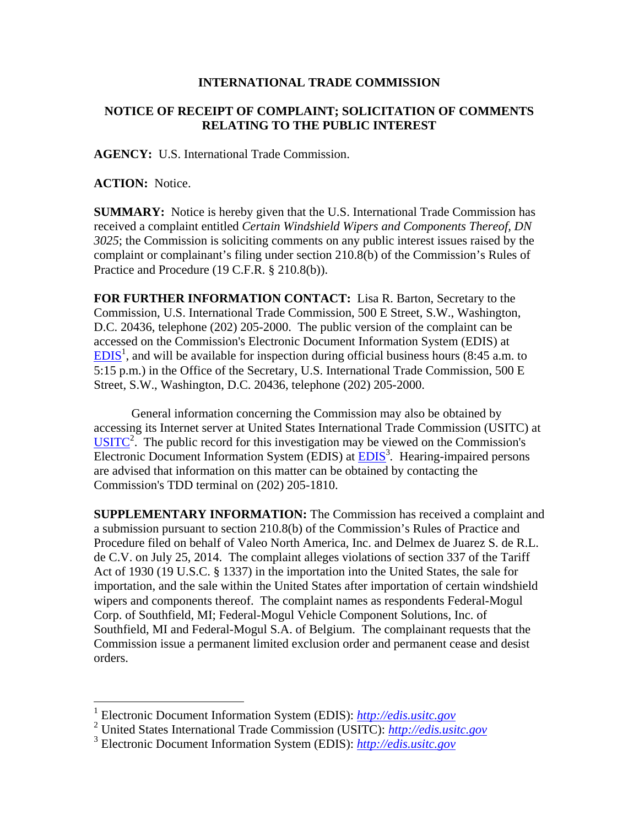## **INTERNATIONAL TRADE COMMISSION**

## **NOTICE OF RECEIPT OF COMPLAINT; SOLICITATION OF COMMENTS RELATING TO THE PUBLIC INTEREST**

**AGENCY:** U.S. International Trade Commission.

**ACTION:** Notice.

 $\overline{a}$ 

**SUMMARY:** Notice is hereby given that the U.S. International Trade Commission has received a complaint entitled *Certain Windshield Wipers and Components Thereof, DN 3025*; the Commission is soliciting comments on any public interest issues raised by the complaint or complainant's filing under section 210.8(b) of the Commission's Rules of Practice and Procedure (19 C.F.R. § 210.8(b)).

**FOR FURTHER INFORMATION CONTACT:** Lisa R. Barton, Secretary to the Commission, U.S. International Trade Commission, 500 E Street, S.W., Washington, D.C. 20436, telephone (202) 205-2000. The public version of the complaint can be accessed on the Commission's Electronic Document Information System (EDIS) at  $EDIS<sup>1</sup>$ , and will be available for inspection during official business hours (8:45 a.m. to 5:15 p.m.) in the Office of the Secretary, U.S. International Trade Commission, 500 E Street, S.W., Washington, D.C. 20436, telephone (202) 205-2000.

General information concerning the Commission may also be obtained by accessing its Internet server at United States International Trade Commission (USITC) at  $\overline{USITC}^2$ . The public record for this investigation may be viewed on the Commission's Electronic Document Information System (EDIS) at **EDIS**<sup>3</sup>. Hearing-impaired persons are advised that information on this matter can be obtained by contacting the Commission's TDD terminal on (202) 205-1810.

**SUPPLEMENTARY INFORMATION:** The Commission has received a complaint and a submission pursuant to section 210.8(b) of the Commission's Rules of Practice and Procedure filed on behalf of Valeo North America, Inc. and Delmex de Juarez S. de R.L. de C.V. on July 25, 2014. The complaint alleges violations of section 337 of the Tariff Act of 1930 (19 U.S.C. § 1337) in the importation into the United States, the sale for importation, and the sale within the United States after importation of certain windshield wipers and components thereof. The complaint names as respondents Federal-Mogul Corp. of Southfield, MI; Federal-Mogul Vehicle Component Solutions, Inc. of Southfield, MI and Federal-Mogul S.A. of Belgium. The complainant requests that the Commission issue a permanent limited exclusion order and permanent cease and desist orders.

<sup>1</sup> Electronic Document Information System (EDIS): *http://edis.usitc.gov*

<sup>2</sup> United States International Trade Commission (USITC): *http://edis.usitc.gov*

<sup>3</sup> Electronic Document Information System (EDIS): *http://edis.usitc.gov*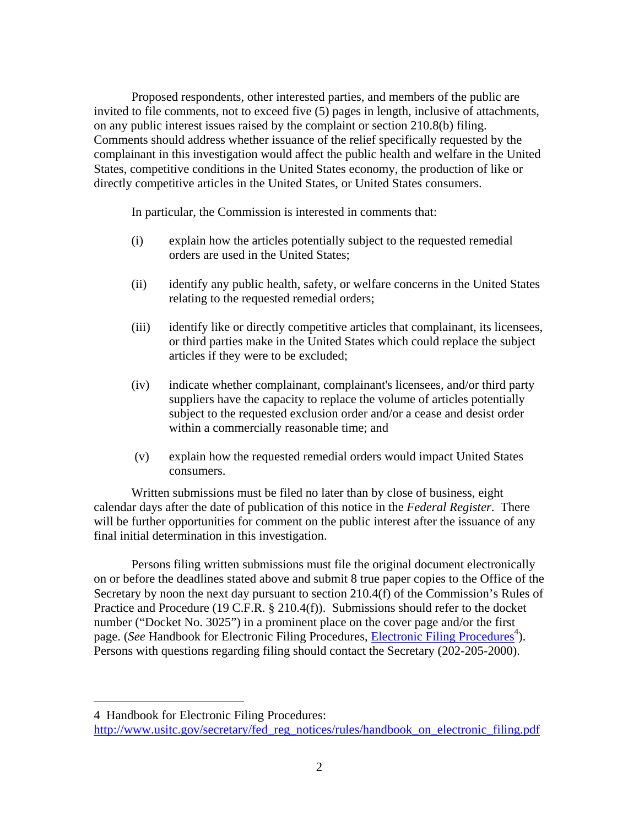Proposed respondents, other interested parties, and members of the public are invited to file comments, not to exceed five (5) pages in length, inclusive of attachments, on any public interest issues raised by the complaint or section 210.8(b) filing. Comments should address whether issuance of the relief specifically requested by the complainant in this investigation would affect the public health and welfare in the United States, competitive conditions in the United States economy, the production of like or directly competitive articles in the United States, or United States consumers.

In particular, the Commission is interested in comments that:

- (i) explain how the articles potentially subject to the requested remedial orders are used in the United States;
- (ii) identify any public health, safety, or welfare concerns in the United States relating to the requested remedial orders;
- (iii) identify like or directly competitive articles that complainant, its licensees, or third parties make in the United States which could replace the subject articles if they were to be excluded;
- (iv) indicate whether complainant, complainant's licensees, and/or third party suppliers have the capacity to replace the volume of articles potentially subject to the requested exclusion order and/or a cease and desist order within a commercially reasonable time; and
- (v) explain how the requested remedial orders would impact United States consumers.

Written submissions must be filed no later than by close of business, eight calendar days after the date of publication of this notice in the *Federal Register*. There will be further opportunities for comment on the public interest after the issuance of any final initial determination in this investigation.

Persons filing written submissions must file the original document electronically on or before the deadlines stated above and submit 8 true paper copies to the Office of the Secretary by noon the next day pursuant to section 210.4(f) of the Commission's Rules of Practice and Procedure (19 C.F.R. § 210.4(f)). Submissions should refer to the docket number ("Docket No. 3025") in a prominent place on the cover page and/or the first page. (*See* Handbook for Electronic Filing Procedures, *Electronic Filing Procedures*<sup>4</sup>). Persons with questions regarding filing should contact the Secretary (202-205-2000).

 $\overline{a}$ 

<sup>4</sup> Handbook for Electronic Filing Procedures:

http://www.usitc.gov/secretary/fed\_reg\_notices/rules/handbook\_on\_electronic\_filing.pdf